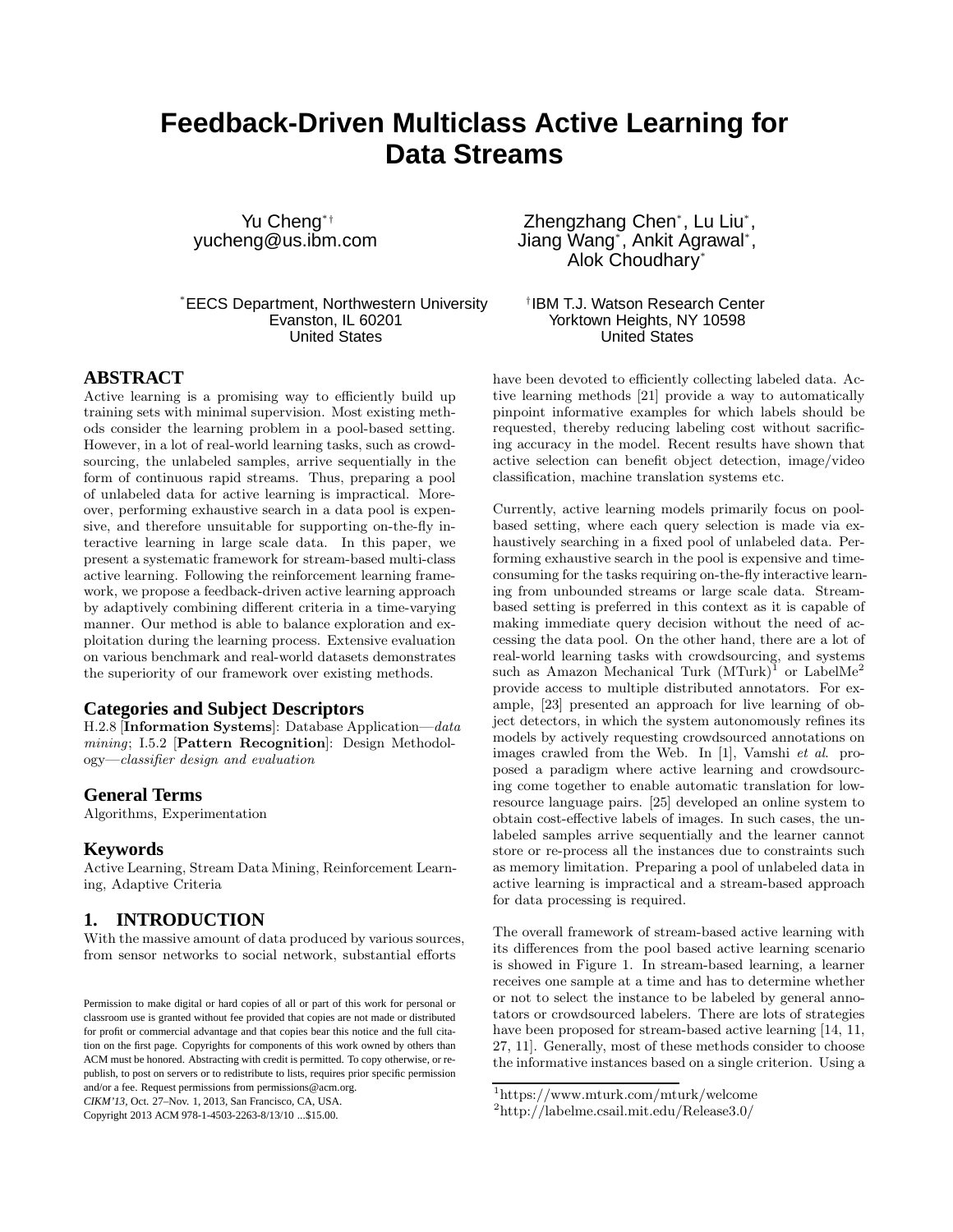# **Feedback-Driven Multiclass Active Learning for Data Streams**

Yu Cheng\*† yucheng@us.ibm.com

\*EECS Department, Northwestern University † United States United States

## **ABSTRACT**

Active learning is a promising way to efficiently build up training sets with minimal supervision. Most existing methods consider the learning problem in a pool-based setting. However, in a lot of real-world learning tasks, such as crowdsourcing, the unlabeled samples, arrive sequentially in the form of continuous rapid streams. Thus, preparing a pool of unlabeled data for active learning is impractical. Moreover, performing exhaustive search in a data pool is expensive, and therefore unsuitable for supporting on-the-fly interactive learning in large scale data. In this paper, we present a systematic framework for stream-based multi-class active learning. Following the reinforcement learning framework, we propose a feedback-driven active learning approach by adaptively combining different criteria in a time-varying manner. Our method is able to balance exploration and exploitation during the learning process. Extensive evaluation on various benchmark and real-world datasets demonstrates the superiority of our framework over existing methods.

#### **Categories and Subject Descriptors**

H.2.8 [Information Systems]: Database Application—data mining; I.5.2 [Pattern Recognition]: Design Methodology—classifier design and evaluation

### **General Terms**

Algorithms, Experimentation

#### **Keywords**

Active Learning, Stream Data Mining, Reinforcement Learning, Adaptive Criteria

## **1. INTRODUCTION**

With the massive amount of data produced by various sources, from sensor networks to social network, substantial efforts

Copyright 2013 ACM 978-1-4503-2263-8/13/10 ...\$15.00.

Zhengzhang Chen\* , Lu Liu\* , Jiang Wang\* , Ankit Agrawal\* , Alok Choudhary\*

<sup>†</sup>IBM T.J. Watson Research Center Evanston, IL 60201 Yorktown Heights, NY 10598

> have been devoted to efficiently collecting labeled data. Active learning methods [21] provide a way to automatically pinpoint informative examples for which labels should be requested, thereby reducing labeling cost without sacrificing accuracy in the model. Recent results have shown that active selection can benefit object detection, image/video classification, machine translation systems etc.

> Currently, active learning models primarily focus on poolbased setting, where each query selection is made via exhaustively searching in a fixed pool of unlabeled data. Performing exhaustive search in the pool is expensive and timeconsuming for the tasks requiring on-the-fly interactive learning from unbounded streams or large scale data. Streambased setting is preferred in this context as it is capable of making immediate query decision without the need of accessing the data pool. On the other hand, there are a lot of real-world learning tasks with crowdsourcing, and systems such as Amazon Mechanical Turk  $(MTurk)^1$  or LabelMe<sup>2</sup> provide access to multiple distributed annotators. For example, [23] presented an approach for live learning of object detectors, in which the system autonomously refines its models by actively requesting crowdsourced annotations on images crawled from the Web. In [1], Vamshi et al. proposed a paradigm where active learning and crowdsourcing come together to enable automatic translation for lowresource language pairs. [25] developed an online system to obtain cost-effective labels of images. In such cases, the unlabeled samples arrive sequentially and the learner cannot store or re-process all the instances due to constraints such as memory limitation. Preparing a pool of unlabeled data in active learning is impractical and a stream-based approach for data processing is required.

> The overall framework of stream-based active learning with its differences from the pool based active learning scenario is showed in Figure 1. In stream-based learning, a learner receives one sample at a time and has to determine whether or not to select the instance to be labeled by general annotators or crowdsourced labelers. There are lots of strategies have been proposed for stream-based active learning [14, 11, 27, 11]. Generally, most of these methods consider to choose the informative instances based on a single criterion. Using a

Permission to make digital or hard copies of all or part of this work for personal or classroom use is granted without fee provided that copies are not made or distributed for profit or commercial advantage and that copies bear this notice and the full citation on the first page. Copyrights for components of this work owned by others than ACM must be honored. Abstracting with credit is permitted. To copy otherwise, or republish, to post on servers or to redistribute to lists, requires prior specific permission and/or a fee. Request permissions from permissions@acm.org. *CIKM'13,* Oct. 27–Nov. 1, 2013, San Francisco, CA, USA.

<sup>1</sup>https://www.mturk.com/mturk/welcome

<sup>2</sup> http://labelme.csail.mit.edu/Release3.0/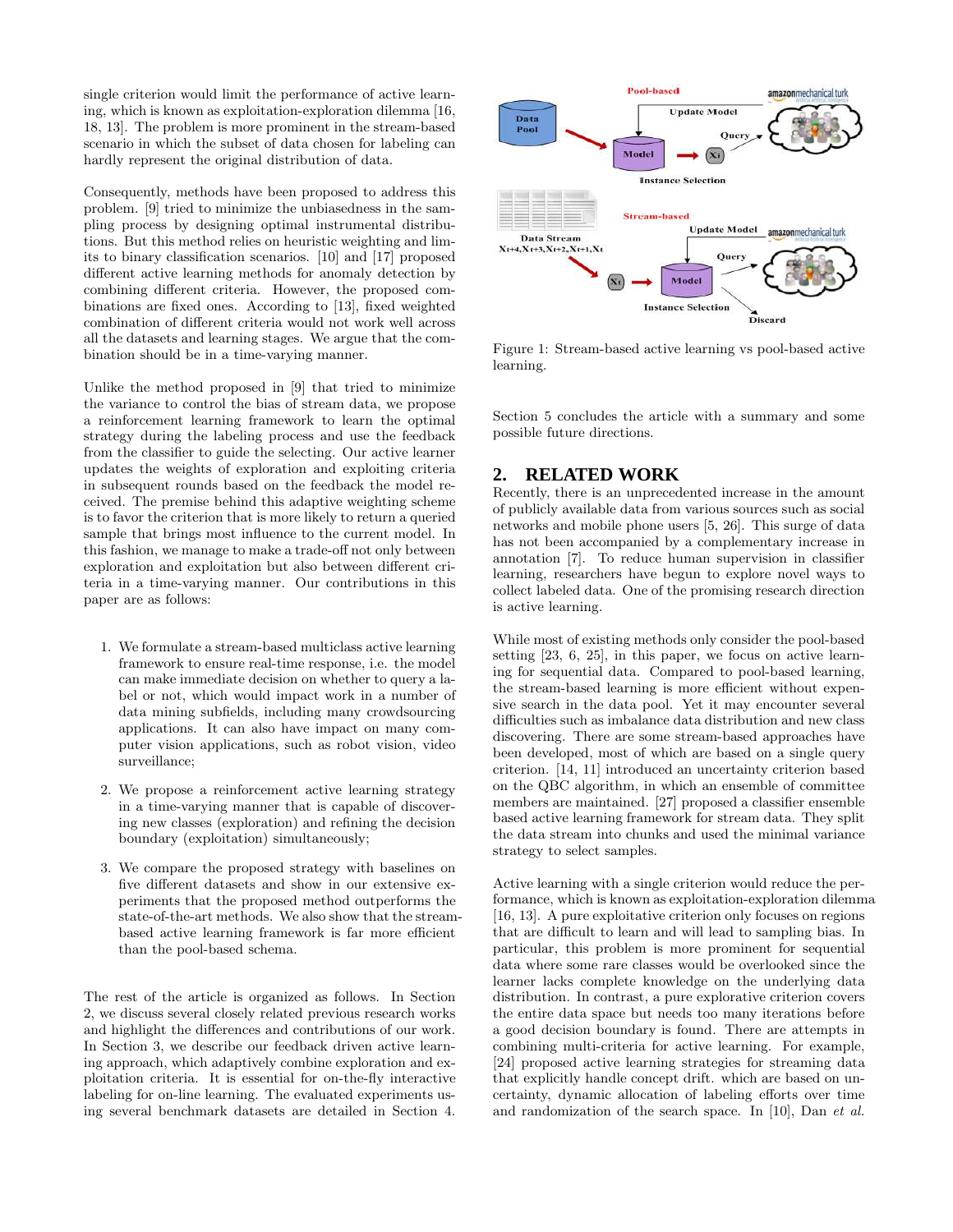single criterion would limit the performance of active learning, which is known as exploitation-exploration dilemma [16, 18, 13]. The problem is more prominent in the stream-based scenario in which the subset of data chosen for labeling can hardly represent the original distribution of data.

Consequently, methods have been proposed to address this problem. [9] tried to minimize the unbiasedness in the sampling process by designing optimal instrumental distributions. But this method relies on heuristic weighting and limits to binary classification scenarios. [10] and [17] proposed different active learning methods for anomaly detection by combining different criteria. However, the proposed combinations are fixed ones. According to [13], fixed weighted combination of different criteria would not work well across all the datasets and learning stages. We argue that the combination should be in a time-varying manner.

Unlike the method proposed in [9] that tried to minimize the variance to control the bias of stream data, we propose a reinforcement learning framework to learn the optimal strategy during the labeling process and use the feedback from the classifier to guide the selecting. Our active learner updates the weights of exploration and exploiting criteria in subsequent rounds based on the feedback the model received. The premise behind this adaptive weighting scheme is to favor the criterion that is more likely to return a queried sample that brings most influence to the current model. In this fashion, we manage to make a trade-off not only between exploration and exploitation but also between different criteria in a time-varying manner. Our contributions in this paper are as follows:

- 1. We formulate a stream-based multiclass active learning framework to ensure real-time response, i.e. the model can make immediate decision on whether to query a label or not, which would impact work in a number of data mining subfields, including many crowdsourcing applications. It can also have impact on many computer vision applications, such as robot vision, video surveillance;
- 2. We propose a reinforcement active learning strategy in a time-varying manner that is capable of discovering new classes (exploration) and refining the decision boundary (exploitation) simultaneously;
- 3. We compare the proposed strategy with baselines on five different datasets and show in our extensive experiments that the proposed method outperforms the state-of-the-art methods. We also show that the streambased active learning framework is far more efficient than the pool-based schema.

The rest of the article is organized as follows. In Section 2, we discuss several closely related previous research works and highlight the differences and contributions of our work. In Section 3, we describe our feedback driven active learning approach, which adaptively combine exploration and exploitation criteria. It is essential for on-the-fly interactive labeling for on-line learning. The evaluated experiments using several benchmark datasets are detailed in Section 4.



Figure 1: Stream-based active learning vs pool-based active learning.

Section 5 concludes the article with a summary and some possible future directions.

## **2. RELATED WORK**

Recently, there is an unprecedented increase in the amount of publicly available data from various sources such as social networks and mobile phone users [5, 26]. This surge of data has not been accompanied by a complementary increase in annotation [7]. To reduce human supervision in classifier learning, researchers have begun to explore novel ways to collect labeled data. One of the promising research direction is active learning.

While most of existing methods only consider the pool-based setting [23, 6, 25], in this paper, we focus on active learning for sequential data. Compared to pool-based learning, the stream-based learning is more efficient without expensive search in the data pool. Yet it may encounter several difficulties such as imbalance data distribution and new class discovering. There are some stream-based approaches have been developed, most of which are based on a single query criterion. [14, 11] introduced an uncertainty criterion based on the QBC algorithm, in which an ensemble of committee members are maintained. [27] proposed a classifier ensemble based active learning framework for stream data. They split the data stream into chunks and used the minimal variance strategy to select samples.

Active learning with a single criterion would reduce the performance, which is known as exploitation-exploration dilemma [16, 13]. A pure exploitative criterion only focuses on regions that are difficult to learn and will lead to sampling bias. In particular, this problem is more prominent for sequential data where some rare classes would be overlooked since the learner lacks complete knowledge on the underlying data distribution. In contrast, a pure explorative criterion covers the entire data space but needs too many iterations before a good decision boundary is found. There are attempts in combining multi-criteria for active learning. For example, [24] proposed active learning strategies for streaming data that explicitly handle concept drift. which are based on uncertainty, dynamic allocation of labeling efforts over time and randomization of the search space. In [10], Dan et al.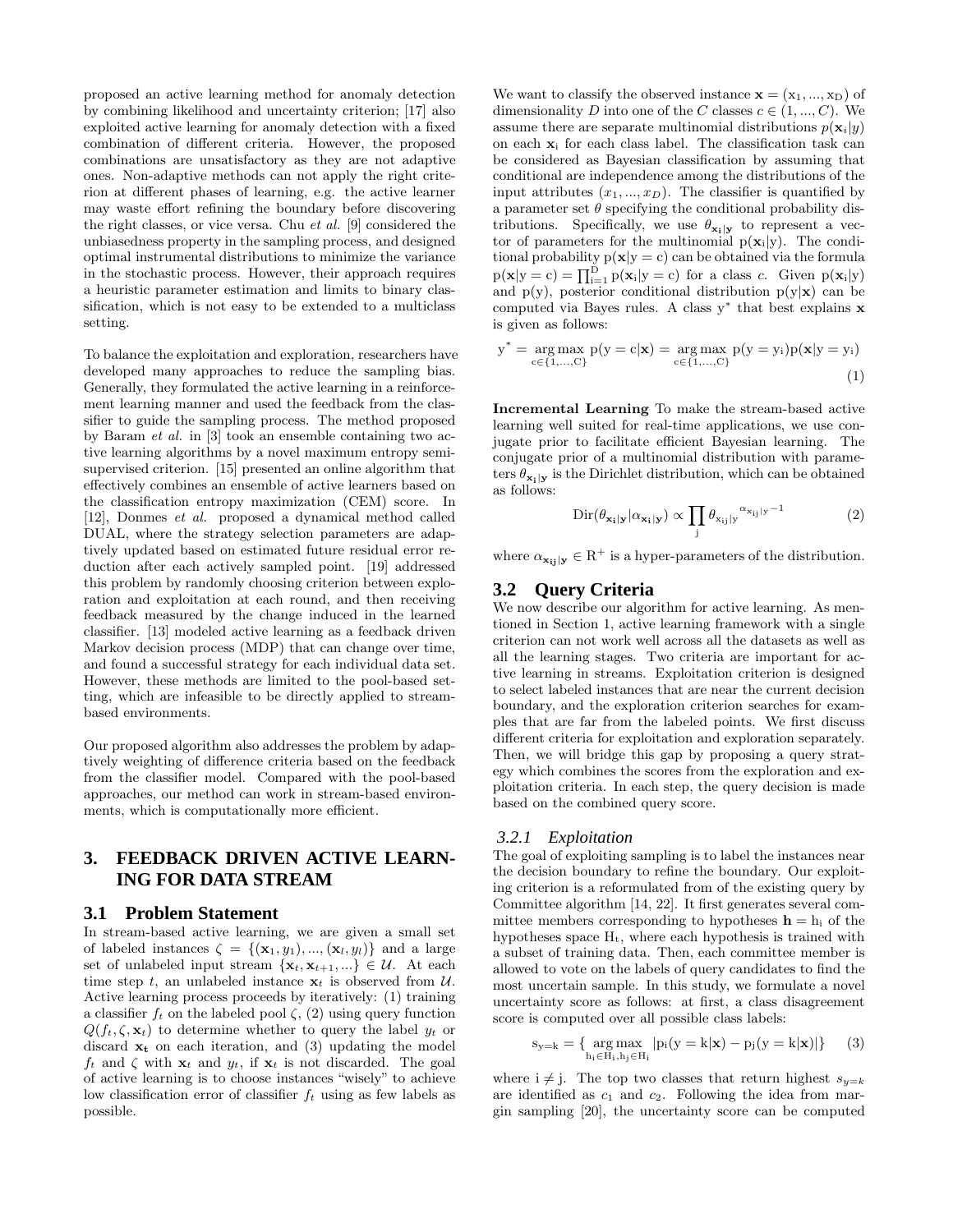proposed an active learning method for anomaly detection by combining likelihood and uncertainty criterion; [17] also exploited active learning for anomaly detection with a fixed combination of different criteria. However, the proposed combinations are unsatisfactory as they are not adaptive ones. Non-adaptive methods can not apply the right criterion at different phases of learning, e.g. the active learner may waste effort refining the boundary before discovering the right classes, or vice versa. Chu et al. [9] considered the unbiasedness property in the sampling process, and designed optimal instrumental distributions to minimize the variance in the stochastic process. However, their approach requires a heuristic parameter estimation and limits to binary classification, which is not easy to be extended to a multiclass setting.

To balance the exploitation and exploration, researchers have developed many approaches to reduce the sampling bias. Generally, they formulated the active learning in a reinforcement learning manner and used the feedback from the classifier to guide the sampling process. The method proposed by Baram et al. in [3] took an ensemble containing two active learning algorithms by a novel maximum entropy semisupervised criterion. [15] presented an online algorithm that effectively combines an ensemble of active learners based on the classification entropy maximization (CEM) score. In [12], Donmes et al. proposed a dynamical method called DUAL, where the strategy selection parameters are adaptively updated based on estimated future residual error reduction after each actively sampled point. [19] addressed this problem by randomly choosing criterion between exploration and exploitation at each round, and then receiving feedback measured by the change induced in the learned classifier. [13] modeled active learning as a feedback driven Markov decision process (MDP) that can change over time, and found a successful strategy for each individual data set. However, these methods are limited to the pool-based setting, which are infeasible to be directly applied to streambased environments.

Our proposed algorithm also addresses the problem by adaptively weighting of difference criteria based on the feedback from the classifier model. Compared with the pool-based approaches, our method can work in stream-based environments, which is computationally more efficient.

# **3. FEEDBACK DRIVEN ACTIVE LEARN-ING FOR DATA STREAM**

#### **3.1 Problem Statement**

In stream-based active learning, we are given a small set of labeled instances  $\zeta = \{(\mathbf{x}_1, y_1), ..., (\mathbf{x}_l, y_l)\}\$ and a large set of unlabeled input stream  $\{x_t, x_{t+1}, ...\} \in \mathcal{U}$ . At each time step t, an unlabeled instance  $x_t$  is observed from  $\mathcal{U}$ . Active learning process proceeds by iteratively: (1) training a classifier  $f_t$  on the labeled pool  $\zeta$ , (2) using query function  $Q(f_t, \zeta, \mathbf{x}_t)$  to determine whether to query the label  $y_t$  or discard  $x_t$  on each iteration, and (3) updating the model  $f_t$  and  $\zeta$  with  $\mathbf{x}_t$  and  $y_t$ , if  $\mathbf{x}_t$  is not discarded. The goal of active learning is to choose instances "wisely" to achieve low classification error of classifier  $f_t$  using as few labels as possible.

We want to classify the observed instance  $\mathbf{x} = (x_1, ..., x_D)$  of dimensionality D into one of the C classes  $c \in (1, ..., C)$ . We assume there are separate multinomial distributions  $p(\mathbf{x}_i|y)$ on each x<sup>i</sup> for each class label. The classification task can be considered as Bayesian classification by assuming that conditional are independence among the distributions of the input attributes  $(x_1, ..., x_D)$ . The classifier is quantified by a parameter set  $\theta$  specifying the conditional probability distributions. Specifically, we use  $\theta_{\mathbf{x_i}|\mathbf{y}}$  to represent a vector of parameters for the multinomial  $p(\mathbf{x}_i|y)$ . The conditional probability  $p(x|y = c)$  can be obtained via the formula  $p(\mathbf{x}|y = c) = \prod_{i=1}^{D} p(\mathbf{x}_i|y = c)$  for a class c. Given  $p(\mathbf{x}_i|y)$ and  $p(y)$ , posterior conditional distribution  $p(y|x)$  can be computed via Bayes rules. A class y<sup>∗</sup> that best explains x is given as follows:

$$
y^* = \underset{c \in \{1, ..., C\}}{\arg \max} p(y = c | \mathbf{x}) = \underset{c \in \{1, ..., C\}}{\arg \max} p(y = y_i) p(\mathbf{x} | y = y_i)
$$
(1)

Incremental Learning To make the stream-based active learning well suited for real-time applications, we use conjugate prior to facilitate efficient Bayesian learning. The conjugate prior of a multinomial distribution with parameters  $\theta_{\mathbf{x_i}|\mathbf{y}}$  is the Dirichlet distribution, which can be obtained as follows:

$$
Dir(\theta_{\mathbf{x_i}|\mathbf{y}}|\alpha_{\mathbf{x_i}|\mathbf{y}}) \propto \prod_{j} \theta_{\mathbf{x_{ij}}|\mathbf{y}}^{\alpha_{\mathbf{x_{ij}}|\mathbf{y}}-1}
$$
(2)

where  $\alpha_{\mathbf{x}_{ij}|\mathbf{y}} \in \mathbb{R}^+$  is a hyper-parameters of the distribution.

#### **3.2 Query Criteria**

We now describe our algorithm for active learning. As mentioned in Section 1, active learning framework with a single criterion can not work well across all the datasets as well as all the learning stages. Two criteria are important for active learning in streams. Exploitation criterion is designed to select labeled instances that are near the current decision boundary, and the exploration criterion searches for examples that are far from the labeled points. We first discuss different criteria for exploitation and exploration separately. Then, we will bridge this gap by proposing a query strategy which combines the scores from the exploration and exploitation criteria. In each step, the query decision is made based on the combined query score.

#### *3.2.1 Exploitation*

The goal of exploiting sampling is to label the instances near the decision boundary to refine the boundary. Our exploiting criterion is a reformulated from of the existing query by Committee algorithm [14, 22]. It first generates several committee members corresponding to hypotheses  $h = h_i$  of the hypotheses space  $H_t$ , where each hypothesis is trained with a subset of training data. Then, each committee member is allowed to vote on the labels of query candidates to find the most uncertain sample. In this study, we formulate a novel uncertainty score as follows: at first, a class disagreement score is computed over all possible class labels:

$$
s_{y=k} = \{ \underset{h_i \in H_i, h_j \in H_i}{\arg \max} |p_i(y=k|\mathbf{x}) - p_j(y=k|\mathbf{x})| \} \qquad (3)
$$

where  $i \neq j$ . The top two classes that return highest  $s_{y=k}$ are identified as  $c_1$  and  $c_2$ . Following the idea from margin sampling [20], the uncertainty score can be computed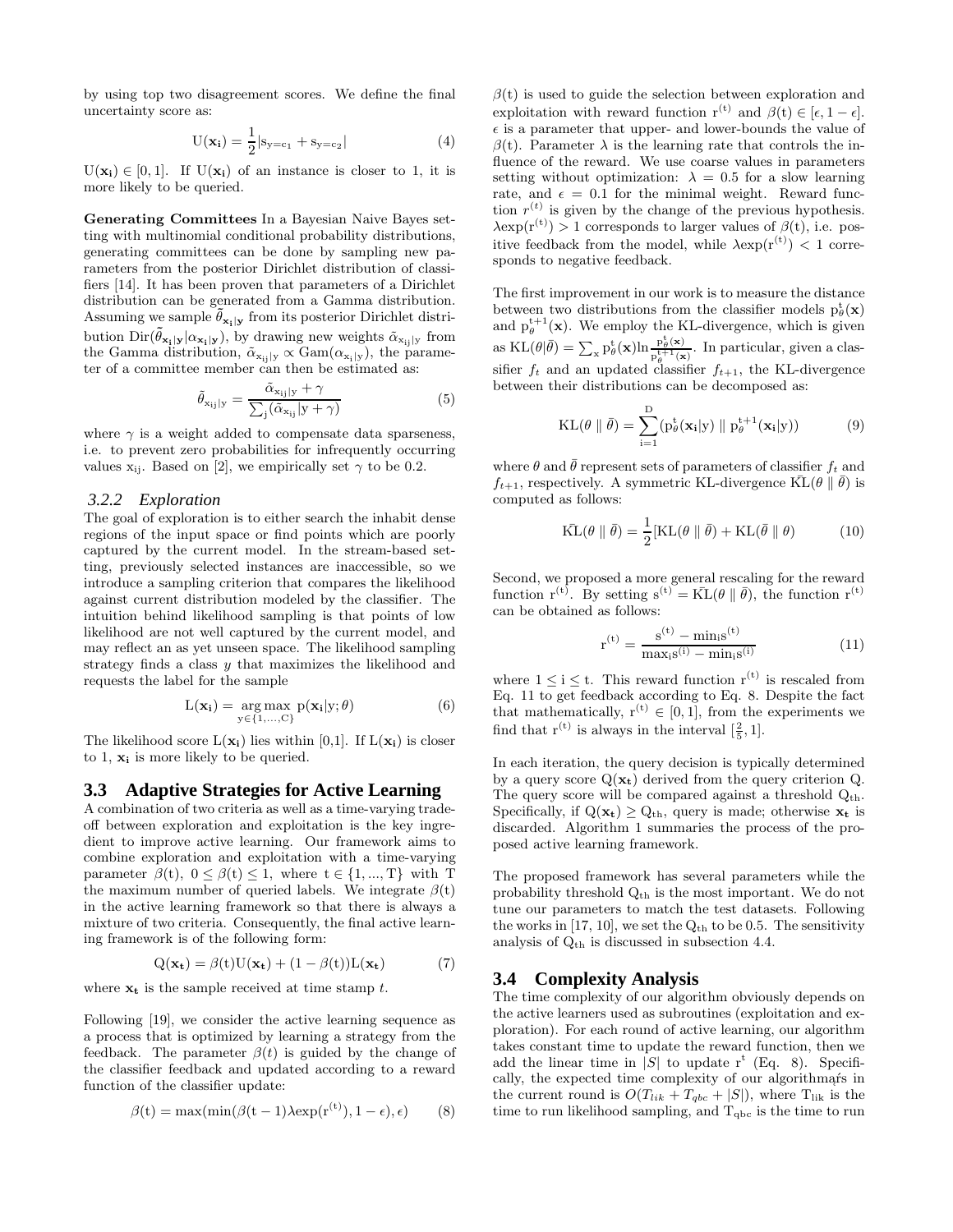by using top two disagreement scores. We define the final uncertainty score as:

$$
U(\mathbf{x_i}) = \frac{1}{2}|s_{y=c_1} + s_{y=c_2}|
$$
 (4)

 $U(x_i) \in [0, 1]$ . If  $U(x_i)$  of an instance is closer to 1, it is more likely to be queried.

Generating Committees In a Bayesian Naive Bayes setting with multinomial conditional probability distributions, generating committees can be done by sampling new parameters from the posterior Dirichlet distribution of classifiers [14]. It has been proven that parameters of a Dirichlet distribution can be generated from a Gamma distribution. Assuming we sample  $\widetilde{\theta}_{\mathbf{x_i}|\mathbf{y}}$  from its posterior Dirichlet distribution  $\text{Dir}(\tilde{\theta}_{\mathbf{x_i}|\mathbf{y}}|\alpha_{\mathbf{x_i}|\mathbf{y}})$ , by drawing new weights  $\tilde{\alpha}_{\mathbf{x_{ij}}|\mathbf{y}}$  from the Gamma distribution,  $\tilde{\alpha}_{x_{i,j}|y} \propto \text{Gam}(\alpha_{x_i|y})$ , the parameter of a committee member can then be estimated as:

$$
\tilde{\theta}_{x_{ij}|y} = \frac{\tilde{\alpha}_{x_{ij}|y} + \gamma}{\sum_{j} (\tilde{\alpha}_{x_{ij}}|y + \gamma)}
$$
(5)

where  $\gamma$  is a weight added to compensate data sparseness, i.e. to prevent zero probabilities for infrequently occurring values  $x_{ij}$ . Based on [2], we empirically set  $\gamma$  to be 0.2.

#### *3.2.2 Exploration*

The goal of exploration is to either search the inhabit dense regions of the input space or find points which are poorly captured by the current model. In the stream-based setting, previously selected instances are inaccessible, so we introduce a sampling criterion that compares the likelihood against current distribution modeled by the classifier. The intuition behind likelihood sampling is that points of low likelihood are not well captured by the current model, and may reflect an as yet unseen space. The likelihood sampling strategy finds a class  $y$  that maximizes the likelihood and requests the label for the sample

$$
L(\mathbf{x_i}) = \underset{y \in \{1, ..., C\}}{\arg \max} p(\mathbf{x_i} | y; \theta)
$$
 (6)

The likelihood score  $L(\mathbf{x_i})$  lies within [0,1]. If  $L(\mathbf{x_i})$  is closer to 1,  $x_i$  is more likely to be queried.

#### **3.3 Adaptive Strategies for Active Learning**

A combination of two criteria as well as a time-varying tradeoff between exploration and exploitation is the key ingredient to improve active learning. Our framework aims to combine exploration and exploitation with a time-varying parameter  $\beta(t)$ ,  $0 \leq \beta(t) \leq 1$ , where  $t \in \{1, ..., T\}$  with T the maximum number of queried labels. We integrate  $\beta(t)$ in the active learning framework so that there is always a mixture of two criteria. Consequently, the final active learning framework is of the following form:

$$
Q(\mathbf{x_t}) = \beta(t)U(\mathbf{x_t}) + (1 - \beta(t))L(\mathbf{x_t})
$$
\n(7)

where  $x_t$  is the sample received at time stamp t.

Following [19], we consider the active learning sequence as a process that is optimized by learning a strategy from the feedback. The parameter  $\beta(t)$  is guided by the change of the classifier feedback and updated according to a reward function of the classifier update:

$$
\beta(t) = \max(\min(\beta(t-1)\lambda \exp(r^{(t)}), 1 - \epsilon), \epsilon)
$$
 (8)

 $\beta(t)$  is used to guide the selection between exploration and exploitation with reward function  $r^{(t)}$  and  $\beta(t) \in [\epsilon, 1 - \epsilon]$ .  $\epsilon$  is a parameter that upper- and lower-bounds the value of  $\beta(t)$ . Parameter  $\lambda$  is the learning rate that controls the influence of the reward. We use coarse values in parameters setting without optimization:  $\lambda = 0.5$  for a slow learning rate, and  $\epsilon = 0.1$  for the minimal weight. Reward function  $r^{(t)}$  is given by the change of the previous hypothesis.  $\lambda \exp(r^{(t)}) > 1$  corresponds to larger values of  $\beta(t)$ , i.e. positive feedback from the model, while  $\lambda \exp(r^{(t)}) < 1$  corresponds to negative feedback.

The first improvement in our work is to measure the distance between two distributions from the classifier models  $p_{\theta}^{t}(\mathbf{x})$ and  $p_{\theta}^{t+1}(\mathbf{x})$ . We employ the KL-divergence, which is given as  $\text{KL}(\theta|\bar{\theta}) = \sum_{\mathbf{x}} p_{\theta}^{\mathrm{t}}(\mathbf{x}) \ln \frac{p_{\theta}^{\mathrm{t}}(\mathbf{x})}{p_{\theta}^{\mathrm{t}+1}(\mathbf{x})}$  $\frac{p_{\theta}(x)}{p_{\theta}^{t+1}(x)}$ . In particular, given a classifier  $f_t$  and an updated classifier  $f_{t+1}$ , the KL-divergence between their distributions can be decomposed as:

KL
$$
(\theta \parallel \bar{\theta}) = \sum_{i=1}^{D} (p_{\theta}^{t}(\mathbf{x}_{i}|y) \parallel p_{\theta}^{t+1}(\mathbf{x}_{i}|y))
$$
 (9)

where  $\theta$  and  $\bar{\theta}$  represent sets of parameters of classifier  $f_t$  and  $f_{t+1}$ , respectively. A symmetric KL-divergence  $\bar{KL}(\theta \parallel \bar{\theta})$  is computed as follows:

$$
\bar{\mathrm{KL}}(\theta \parallel \bar{\theta}) = \frac{1}{2} [\mathrm{KL}(\theta \parallel \bar{\theta}) + \mathrm{KL}(\bar{\theta} \parallel \theta)] \tag{10}
$$

Second, we proposed a more general rescaling for the reward function  $r^{(t)}$ . By setting  $s^{(t)} = K\overline{L}(\theta \parallel \overline{\theta})$ , the function  $r^{(t)}$ can be obtained as follows:

$$
r^{(t)} = \frac{s^{(t)} - \min_{i} s^{(t)}}{\max_{i} s^{(i)} - \min_{i} s^{(i)}}
$$
(11)

where  $1 \leq i \leq t$ . This reward function  $r^{(t)}$  is rescaled from Eq. 11 to get feedback according to Eq. 8. Despite the fact that mathematically,  $r^{(t)} \in [0, 1]$ , from the experiments we find that  $r^{(t)}$  is always in the interval  $\left[\frac{2}{5}, 1\right]$ .

In each iteration, the query decision is typically determined by a query score  $Q(\mathbf{x}_t)$  derived from the query criterion Q. The query score will be compared against a threshold  $Q_{th}$ . Specifically, if  $Q(x_t) \geq Q_{th}$ , query is made; otherwise  $x_t$  is discarded. Algorithm 1 summaries the process of the proposed active learning framework.

The proposed framework has several parameters while the probability threshold  $\mathbf{Q}_{\mathrm{th}}$  is the most important. We do not tune our parameters to match the test datasets. Following the works in  $[17, 10]$ , we set the  $Q<sub>th</sub>$  to be 0.5. The sensitivity analysis of  $Q_{th}$  is discussed in subsection 4.4.

#### **3.4 Complexity Analysis**

The time complexity of our algorithm obviously depends on the active learners used as subroutines (exploitation and exploration). For each round of active learning, our algorithm takes constant time to update the reward function, then we add the linear time in  $|S|$  to update r<sup>t</sup> (Eq. 8). Specifically, the expected time complexity of our algorithm axis in the current round is  $O(T_{lik} + T_{qbc} + |S|)$ , where  $T_{lik}$  is the time to run likelihood sampling, and  $T_{\rm qbc}$  is the time to run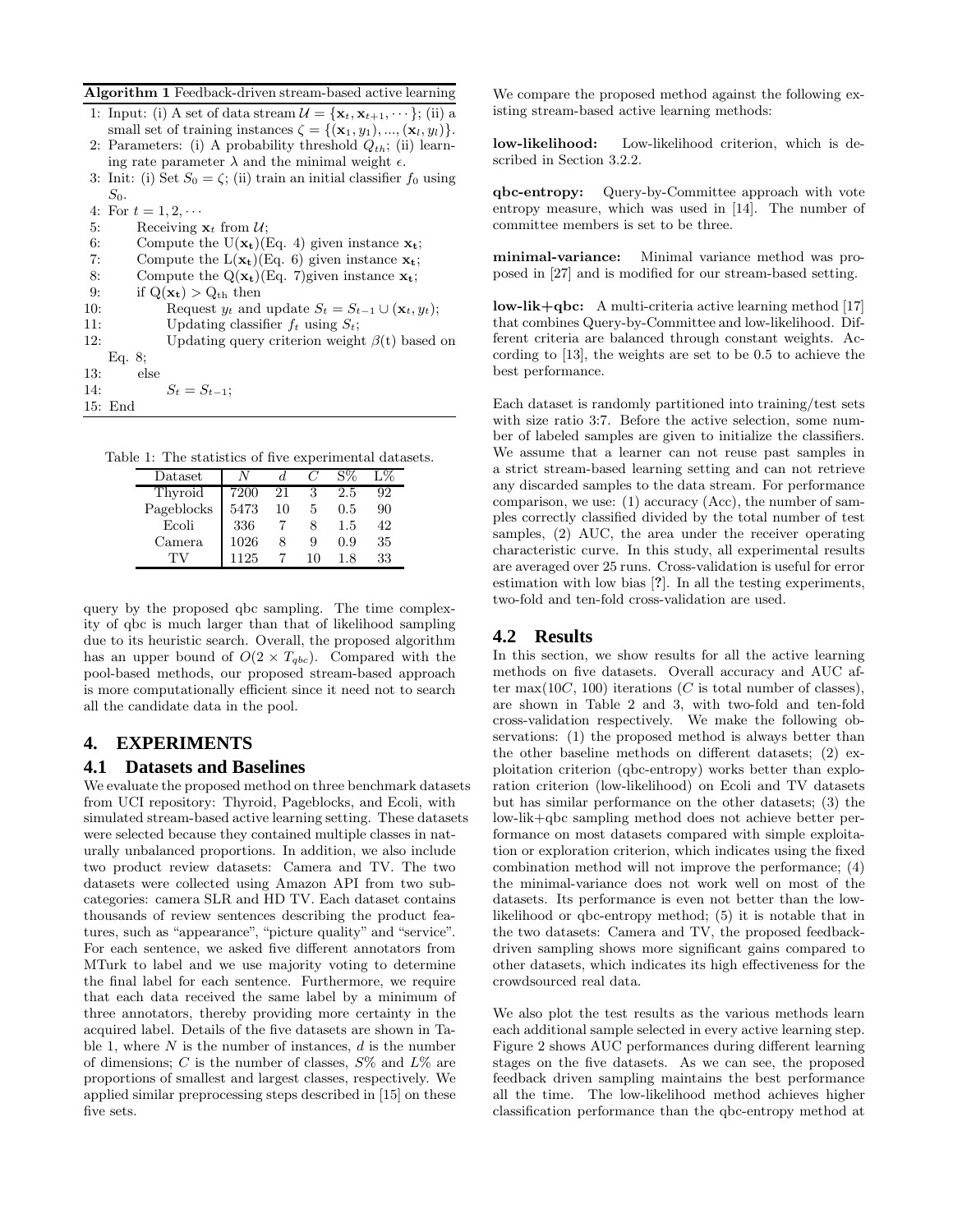Algorithm 1 Feedback-driven stream-based active learning

- 1: Input: (i) A set of data stream  $\mathcal{U} = {\mathbf{x}_t, \mathbf{x}_{t+1}, \dots}$ ; (ii) a small set of training instances  $\zeta = \{(\mathbf{x}_1, y_1), ..., (\mathbf{x}_l, y_l)\}.$
- 2: Parameters: (i) A probability threshold  $Q_{th}$ ; (ii) learning rate parameter  $\lambda$  and the minimal weight  $\epsilon$ .
- 3: Init: (i) Set  $S_0 = \zeta$ ; (ii) train an initial classifier  $f_0$  using  $S_0$ .

4: For  $t = 1, 2, \cdots$ 

5: Receiving  $\mathbf{x}_t$  from  $\mathcal{U}$ ; 6: Compute the U( $\mathbf{x}_t$ )(Eq. 4) given instance  $\mathbf{x}_t$ ;

7: Compute the  $L(\mathbf{x_t})$ (Eq. 6) given instance  $\mathbf{x_t}$ ;

8: Compute the  $Q(x_t)(Eq. 7)$ given instance  $x_t$ ;

9: if  $Q(\mathbf{x_t}) > Q_{\text{th}}$  then

10: Request  $y_t$  and update  $S_t = S_{t-1} \cup (\mathbf{x}_t, y_t);$ 

11: Updating classifier  $f_t$  using  $S_t$ ;

- 12: Updating query criterion weight  $\beta(t)$  based on Eq. 8;
- 13: else

14:  $S_t = S_{t-1};$ 15: End

Table 1: The statistics of five experimental datasets.

| Dataset    |      |    |    |     |     |
|------------|------|----|----|-----|-----|
| Thyroid    | 7200 | 21 |    | 2.5 | 92  |
| Pageblocks | 5473 | 10 | h. | 0.5 | 90  |
| Ecoli      | 336  |    |    | 1.5 | 42. |
| Camera     | 1026 |    | 9  | 0.9 | 35  |
|            | 1125 |    | 10 | 18  | 33  |

query by the proposed qbc sampling. The time complexity of qbc is much larger than that of likelihood sampling due to its heuristic search. Overall, the proposed algorithm has an upper bound of  $O(2 \times T_{qbc})$ . Compared with the pool-based methods, our proposed stream-based approach is more computationally efficient since it need not to search all the candidate data in the pool.

# **4. EXPERIMENTS**

#### **4.1 Datasets and Baselines**

We evaluate the proposed method on three benchmark datasets from UCI repository: Thyroid, Pageblocks, and Ecoli, with simulated stream-based active learning setting. These datasets were selected because they contained multiple classes in naturally unbalanced proportions. In addition, we also include two product review datasets: Camera and TV. The two datasets were collected using Amazon API from two subcategories: camera SLR and HD TV. Each dataset contains thousands of review sentences describing the product features, such as "appearance", "picture quality" and "service". For each sentence, we asked five different annotators from MTurk to label and we use majority voting to determine the final label for each sentence. Furthermore, we require that each data received the same label by a minimum of three annotators, thereby providing more certainty in the acquired label. Details of the five datasets are shown in Table 1, where  $N$  is the number of instances,  $d$  is the number of dimensions; C is the number of classes,  $S\%$  and  $L\%$  are proportions of smallest and largest classes, respectively. We applied similar preprocessing steps described in [15] on these five sets.

We compare the proposed method against the following existing stream-based active learning methods:

low-likelihood: Low-likelihood criterion, which is described in Section 3.2.2.

qbc-entropy: Query-by-Committee approach with vote entropy measure, which was used in [14]. The number of committee members is set to be three.

minimal-variance: Minimal variance method was proposed in [27] and is modified for our stream-based setting.

low-lik+qbc: A multi-criteria active learning method [17] that combines Query-by-Committee and low-likelihood. Different criteria are balanced through constant weights. According to [13], the weights are set to be 0.5 to achieve the best performance.

Each dataset is randomly partitioned into training/test sets with size ratio 3:7. Before the active selection, some number of labeled samples are given to initialize the classifiers. We assume that a learner can not reuse past samples in a strict stream-based learning setting and can not retrieve any discarded samples to the data stream. For performance comparison, we use: (1) accuracy (Acc), the number of samples correctly classified divided by the total number of test samples, (2) AUC, the area under the receiver operating characteristic curve. In this study, all experimental results are averaged over 25 runs. Cross-validation is useful for error estimation with low bias [?]. In all the testing experiments, two-fold and ten-fold cross-validation are used.

## **4.2 Results**

In this section, we show results for all the active learning methods on five datasets. Overall accuracy and AUC after max $(10C, 100)$  iterations  $(C$  is total number of classes), are shown in Table 2 and 3, with two-fold and ten-fold cross-validation respectively. We make the following observations: (1) the proposed method is always better than the other baseline methods on different datasets; (2) exploitation criterion (qbc-entropy) works better than exploration criterion (low-likelihood) on Ecoli and TV datasets but has similar performance on the other datasets; (3) the low-lik+qbc sampling method does not achieve better performance on most datasets compared with simple exploitation or exploration criterion, which indicates using the fixed combination method will not improve the performance; (4) the minimal-variance does not work well on most of the datasets. Its performance is even not better than the lowlikelihood or qbc-entropy method; (5) it is notable that in the two datasets: Camera and TV, the proposed feedbackdriven sampling shows more significant gains compared to other datasets, which indicates its high effectiveness for the crowdsourced real data.

We also plot the test results as the various methods learn each additional sample selected in every active learning step. Figure 2 shows AUC performances during different learning stages on the five datasets. As we can see, the proposed feedback driven sampling maintains the best performance all the time. The low-likelihood method achieves higher classification performance than the qbc-entropy method at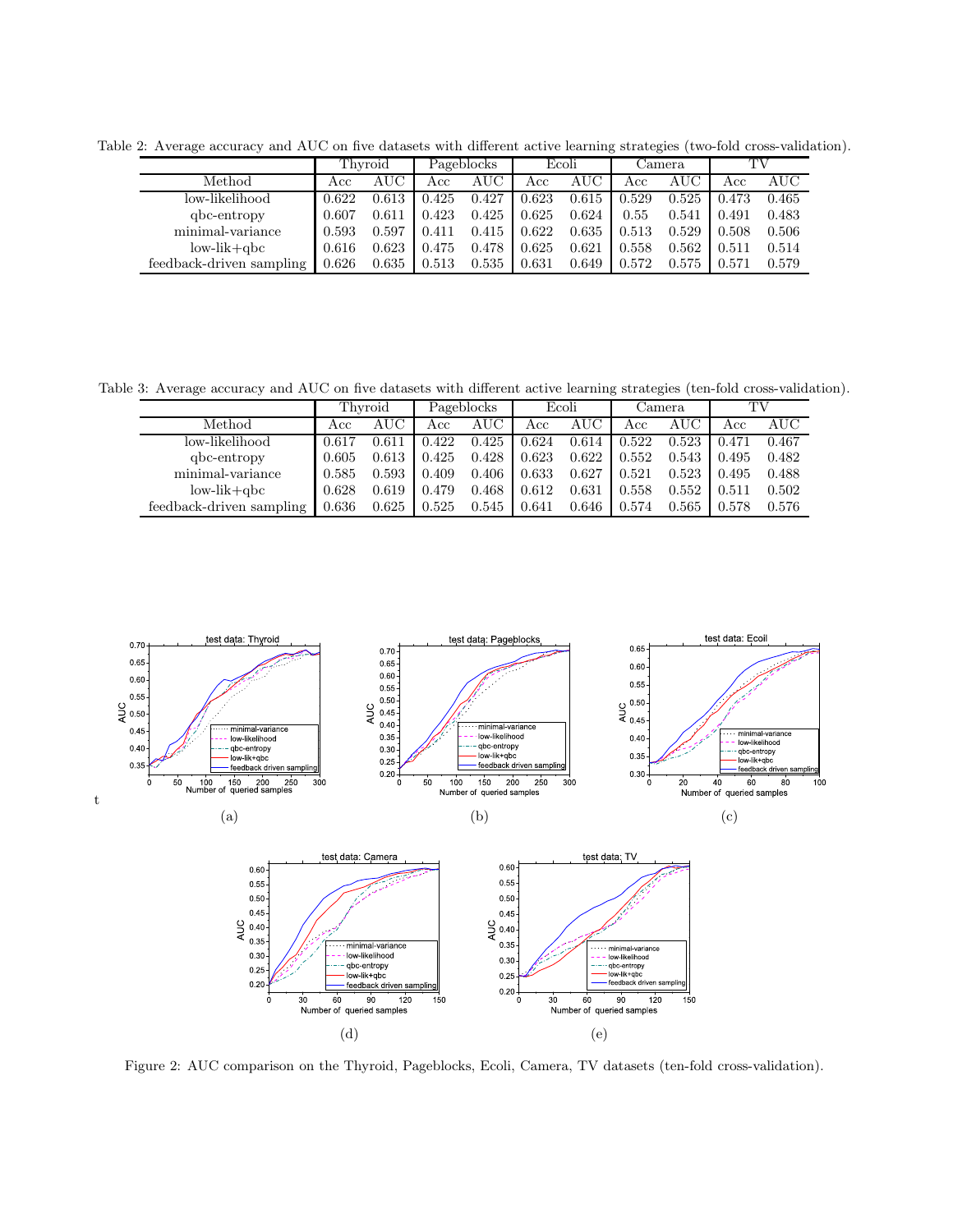Table 2: Average accuracy and AUC on five datasets with different active learning strategies (two-fold cross-validation).

|                          |       | Thvroid   |       | Pageblocks |                   | Ecoli |       | Camera | ТV    |       |
|--------------------------|-------|-----------|-------|------------|-------------------|-------|-------|--------|-------|-------|
| Method                   | Acc   | $\rm AUC$ | Acc   | AUC        | $_{\mathrm{Acc}}$ | AUC   | Acc   | AUC    | Acc   | AUC   |
| low-likelihood           | 0.622 | 0.613     | 0.425 | 0.427      | 0.623             | 0.615 | 0.529 | 0.525  | 0.473 | 0.465 |
| qbc-entropy              | 0.607 | 0.611     | 0.423 | 0.425      | 0.625             | 0.624 | 0.55  | 0.541  | 0.491 | 0.483 |
| minimal-variance         | 0.593 | 0.597     | 0.411 | 0.415      | 0.622             | 0.635 | 0.513 | 0.529  | 0.508 | 0.506 |
| $low-lik+abc$            | 0.616 | 0.623     | 0.475 | 0.478      | 0.625             | 0.621 | 0.558 | 0.562  | 0.511 | 0.514 |
| feedback-driven sampling | 0.626 | 0.635     | 0.513 | 0.535      | 0.631             | 0.649 | 0.572 | 0.575  | 0.571 | 0.579 |

Table 3: Average accuracy and AUC on five datasets with different active learning strategies (ten-fold cross-validation).

|                          |       | Thvroid   |       | Pageblocks |                   | Ecoli |       | Camera |       | ТV    |
|--------------------------|-------|-----------|-------|------------|-------------------|-------|-------|--------|-------|-------|
| Method                   | Acc   | $\rm AUC$ | Acc   | $\rm AUC$  | $_{\mathrm{Acc}}$ | AUC   | Acc   | AUC    | Acc   | AUC   |
| low-likelihood           | 0.617 | 0.611     | 0.422 | 0.425      | 0.624             | 0.614 | 0.522 | 0.523  | 0.471 | 0.467 |
| qbc-entropy              | 0.605 | 0.613     | 0.425 | 0.428      | 0.623             | 0.622 | 0.552 | 0.543  | 0.495 | 0.482 |
| minimal-variance         | 0.585 | 0.593     | 0.409 | 0.406      | 0.633             | 0.627 | 0.521 | 0.523  | 0.495 | 0.488 |
| $low-lik+abc$            | 0.628 | 0.619     | 0.479 | 0.468      | 0.612             | 0.631 | 0.558 | 0.552  | 0.511 | 0.502 |
| feedback-driven sampling | 0.636 | 0.625     | 0.525 | 0.545      | 0.641             | 0.646 | 0.574 | 0.565  | 0.578 | 0.576 |



Figure 2: AUC comparison on the Thyroid, Pageblocks, Ecoli, Camera, TV datasets (ten-fold cross-validation).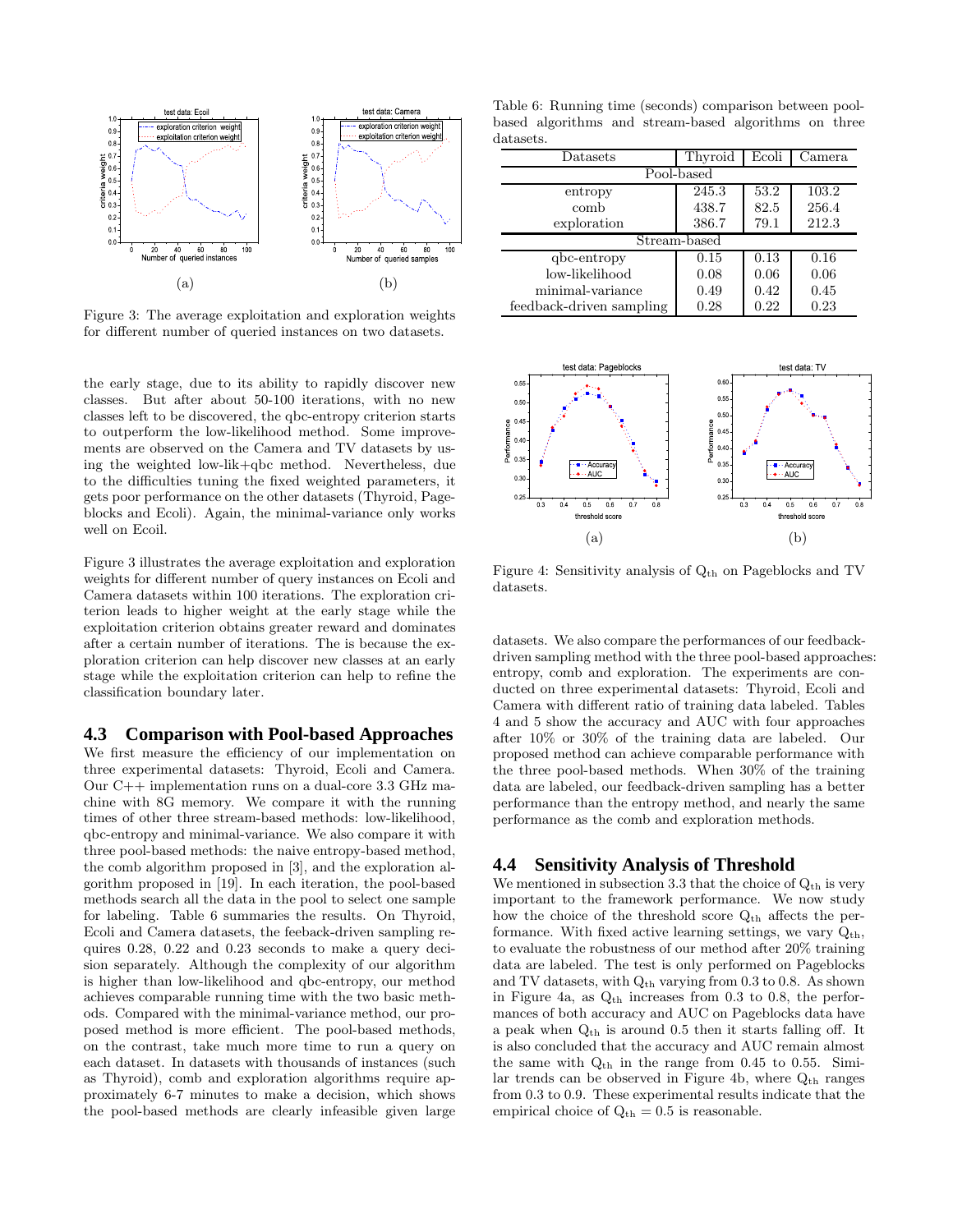

Figure 3: The average exploitation and exploration weights for different number of queried instances on two datasets.

the early stage, due to its ability to rapidly discover new classes. But after about 50-100 iterations, with no new classes left to be discovered, the qbc-entropy criterion starts to outperform the low-likelihood method. Some improvements are observed on the Camera and TV datasets by using the weighted low-lik+qbc method. Nevertheless, due to the difficulties tuning the fixed weighted parameters, it gets poor performance on the other datasets (Thyroid, Pageblocks and Ecoli). Again, the minimal-variance only works well on Ecoil.

Figure 3 illustrates the average exploitation and exploration weights for different number of query instances on Ecoli and Camera datasets within 100 iterations. The exploration criterion leads to higher weight at the early stage while the exploitation criterion obtains greater reward and dominates after a certain number of iterations. The is because the exploration criterion can help discover new classes at an early stage while the exploitation criterion can help to refine the classification boundary later.

## **4.3 Comparison with Pool-based Approaches**

We first measure the efficiency of our implementation on three experimental datasets: Thyroid, Ecoli and Camera. Our C++ implementation runs on a dual-core 3.3 GHz machine with 8G memory. We compare it with the running times of other three stream-based methods: low-likelihood, qbc-entropy and minimal-variance. We also compare it with three pool-based methods: the naive entropy-based method, the comb algorithm proposed in [3], and the exploration algorithm proposed in [19]. In each iteration, the pool-based methods search all the data in the pool to select one sample for labeling. Table 6 summaries the results. On Thyroid, Ecoli and Camera datasets, the feeback-driven sampling requires 0.28, 0.22 and 0.23 seconds to make a query decision separately. Although the complexity of our algorithm is higher than low-likelihood and qbc-entropy, our method achieves comparable running time with the two basic methods. Compared with the minimal-variance method, our proposed method is more efficient. The pool-based methods, on the contrast, take much more time to run a query on each dataset. In datasets with thousands of instances (such as Thyroid), comb and exploration algorithms require approximately 6-7 minutes to make a decision, which shows the pool-based methods are clearly infeasible given large

Table 6: Running time (seconds) comparison between poolbased algorithms and stream-based algorithms on three datasets.

| $\mathrm{Datasets}$      | Thyroid      | Ecoli | Camera |
|--------------------------|--------------|-------|--------|
|                          | Pool-based   |       |        |
| entropy                  | 245.3        | 53.2  | 103.2  |
| comb                     | 438.7        | 82.5  | 256.4  |
| exploration              | 386.7        | 79.1  | 212.3  |
|                          | Stream-based |       |        |
| qbc-entropy              | 0.15         | 0.13  | 0.16   |
| low-likelihood           | 0.08         | 0.06  | 0.06   |
| minimal-variance         | 0.49         | 0.42  | 0.45   |
| feedback-driven sampling | 0.28         | 0.22  | 0.23   |



Figure 4: Sensitivity analysis of  $Q_{th}$  on Pageblocks and TV datasets.

datasets. We also compare the performances of our feedbackdriven sampling method with the three pool-based approaches: entropy, comb and exploration. The experiments are conducted on three experimental datasets: Thyroid, Ecoli and Camera with different ratio of training data labeled. Tables 4 and 5 show the accuracy and AUC with four approaches after 10% or 30% of the training data are labeled. Our proposed method can achieve comparable performance with the three pool-based methods. When 30% of the training data are labeled, our feedback-driven sampling has a better performance than the entropy method, and nearly the same performance as the comb and exploration methods.

#### **4.4 Sensitivity Analysis of Threshold**

We mentioned in subsection 3.3 that the choice of  $Q_{th}$  is very important to the framework performance. We now study how the choice of the threshold score  $Q_{th}$  affects the performance. With fixed active learning settings, we vary  $Q_{th}$ , to evaluate the robustness of our method after 20% training data are labeled. The test is only performed on Pageblocks and TV datasets, with  $Q<sub>th</sub>$  varying from 0.3 to 0.8. As shown in Figure 4a, as  $Q_{th}$  increases from 0.3 to 0.8, the performances of both accuracy and AUC on Pageblocks data have a peak when  $Q_{th}$  is around 0.5 then it starts falling off. It is also concluded that the accuracy and AUC remain almost the same with  $Q_{th}$  in the range from 0.45 to 0.55. Similar trends can be observed in Figure 4b, where  $Q_{th}$  ranges from 0.3 to 0.9. These experimental results indicate that the empirical choice of  $Q_{th} = 0.5$  is reasonable.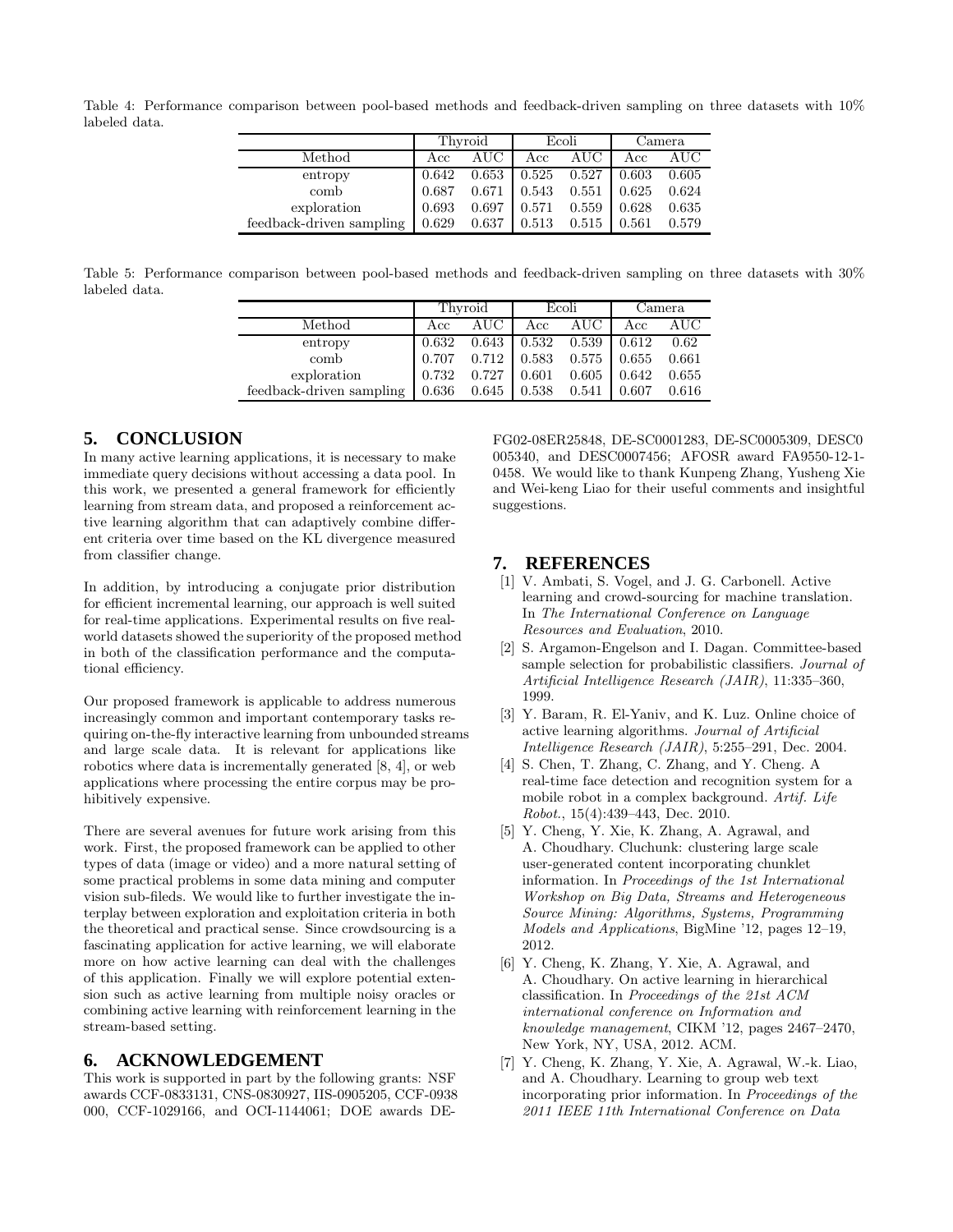Table 4: Performance comparison between pool-based methods and feedback-driven sampling on three datasets with 10% labeled data.

|                          | Thyroid |       |       | Ecoli     | Camera |       |
|--------------------------|---------|-------|-------|-----------|--------|-------|
| Method                   | Acc     | AUC   | Acc   | $\rm AUC$ | Acc    | AUC   |
| entropy                  | 0.642   | 0.653 | 0.525 | 0.527     | 0.603  | 0.605 |
| comb                     | 0.687   | 0.671 | 0.543 | 0.551     | 0.625  | 0.624 |
| exploration              | 0.693   | 0.697 | 0.571 | 0.559     | 0.628  | 0.635 |
| feedback-driven sampling | 0.629   | 0.637 | 0.513 | 0.515     | 0.561  | 0.579 |

Table 5: Performance comparison between pool-based methods and feedback-driven sampling on three datasets with 30% labeled data.

|                          | Thyroid |       |       | Ecoli | Camera |       |  |
|--------------------------|---------|-------|-------|-------|--------|-------|--|
| $\operatorname{Method}$  | Acc     | AUC   | Acc   | AUC   | Acc    | AUC   |  |
| entropy                  | 0.632   | 0.643 | 0.532 | 0.539 | 0.612  | 0.62  |  |
| comb                     | 0.707   | 0.712 | 0.583 | 0.575 | 0.655  | 0.661 |  |
| exploration              | 0.732   | 0.727 | 0.601 | 0.605 | 0.642  | 0.655 |  |
| feedback-driven sampling | 0.636   | 0.645 | 0.538 | 0.541 | 0.607  | 0.616 |  |

# **5. CONCLUSION**

In many active learning applications, it is necessary to make immediate query decisions without accessing a data pool. In this work, we presented a general framework for efficiently learning from stream data, and proposed a reinforcement active learning algorithm that can adaptively combine different criteria over time based on the KL divergence measured from classifier change.

In addition, by introducing a conjugate prior distribution for efficient incremental learning, our approach is well suited for real-time applications. Experimental results on five realworld datasets showed the superiority of the proposed method in both of the classification performance and the computational efficiency.

Our proposed framework is applicable to address numerous increasingly common and important contemporary tasks requiring on-the-fly interactive learning from unbounded streams and large scale data. It is relevant for applications like robotics where data is incrementally generated [8, 4], or web applications where processing the entire corpus may be prohibitively expensive.

There are several avenues for future work arising from this work. First, the proposed framework can be applied to other types of data (image or video) and a more natural setting of some practical problems in some data mining and computer vision sub-fileds. We would like to further investigate the interplay between exploration and exploitation criteria in both the theoretical and practical sense. Since crowdsourcing is a fascinating application for active learning, we will elaborate more on how active learning can deal with the challenges of this application. Finally we will explore potential extension such as active learning from multiple noisy oracles or combining active learning with reinforcement learning in the stream-based setting.

## **6. ACKNOWLEDGEMENT**

This work is supported in part by the following grants: NSF awards CCF-0833131, CNS-0830927, IIS-0905205, CCF-0938 000, CCF-1029166, and OCI-1144061; DOE awards DE-

FG02-08ER25848, DE-SC0001283, DE-SC0005309, DESC0 005340, and DESC0007456; AFOSR award FA9550-12-1- 0458. We would like to thank Kunpeng Zhang, Yusheng Xie and Wei-keng Liao for their useful comments and insightful suggestions.

## **7. REFERENCES**

- [1] V. Ambati, S. Vogel, and J. G. Carbonell. Active learning and crowd-sourcing for machine translation. In The International Conference on Language Resources and Evaluation, 2010.
- [2] S. Argamon-Engelson and I. Dagan. Committee-based sample selection for probabilistic classifiers. Journal of Artificial Intelligence Research (JAIR), 11:335–360, 1999.
- [3] Y. Baram, R. El-Yaniv, and K. Luz. Online choice of active learning algorithms. Journal of Artificial Intelligence Research (JAIR), 5:255–291, Dec. 2004.
- [4] S. Chen, T. Zhang, C. Zhang, and Y. Cheng. A real-time face detection and recognition system for a mobile robot in a complex background. Artif. Life Robot., 15(4):439–443, Dec. 2010.
- [5] Y. Cheng, Y. Xie, K. Zhang, A. Agrawal, and A. Choudhary. Cluchunk: clustering large scale user-generated content incorporating chunklet information. In Proceedings of the 1st International Workshop on Big Data, Streams and Heterogeneous Source Mining: Algorithms, Systems, Programming Models and Applications, BigMine '12, pages 12–19, 2012.
- [6] Y. Cheng, K. Zhang, Y. Xie, A. Agrawal, and A. Choudhary. On active learning in hierarchical classification. In Proceedings of the 21st ACM international conference on Information and knowledge management, CIKM '12, pages 2467–2470, New York, NY, USA, 2012. ACM.
- [7] Y. Cheng, K. Zhang, Y. Xie, A. Agrawal, W.-k. Liao, and A. Choudhary. Learning to group web text incorporating prior information. In Proceedings of the 2011 IEEE 11th International Conference on Data